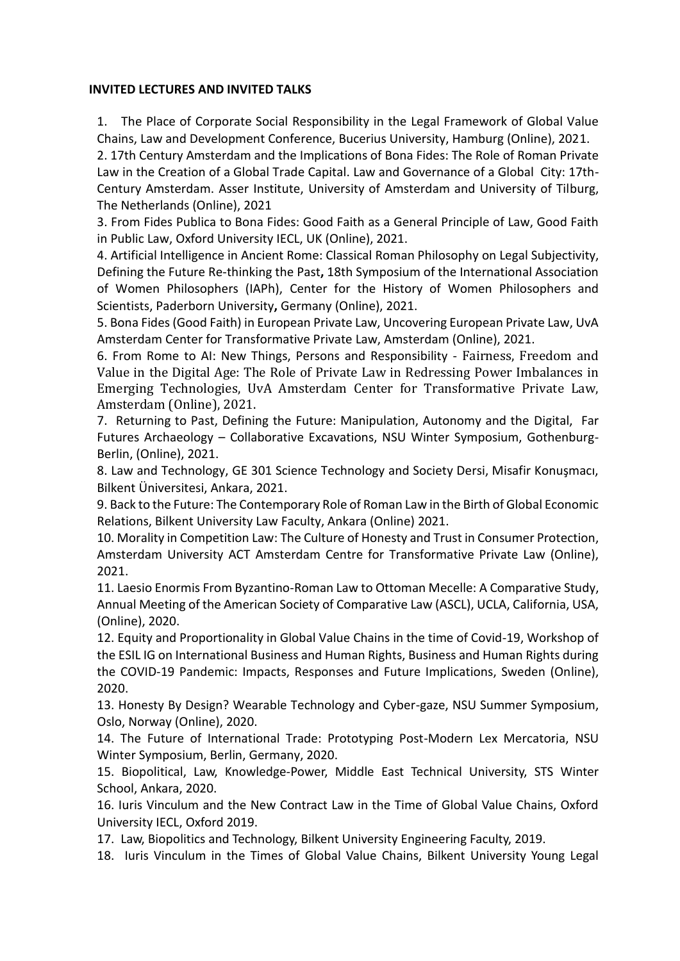## **INVITED LECTURES AND INVITED TALKS**

1. The Place of Corporate Social Responsibility in the Legal Framework of Global Value Chains, Law and Development Conference, Bucerius University, Hamburg (Online), 2021.

2. 17th Century Amsterdam and the Implications of Bona Fides: The Role of Roman Private Law in the Creation of a Global Trade Capital. Law and Governance of a Global City: 17th-Century Amsterdam. Asser Institute, University of Amsterdam and University of Tilburg, The Netherlands (Online), 2021

3. From Fides Publica to Bona Fides: Good Faith as a General Principle of Law, Good Faith in Public Law, Oxford University IECL, UK (Online), 2021.

4. Artificial Intelligence in Ancient Rome: Classical Roman Philosophy on Legal Subjectivity, Defining the Future Re-thinking the Past**,** 18th Symposium of the International Association of Women Philosophers (IAPh), Center for the History of Women Philosophers and Scientists, Paderborn University**,** Germany (Online), 2021.

5. Bona Fides (Good Faith) in European Private Law, Uncovering European Private Law, UvA Amsterdam Center for Transformative Private Law, Amsterdam (Online), 2021.

6. From Rome to AI: New Things, Persons and Responsibility - Fairness, Freedom and Value in the Digital Age: The Role of Private Law in Redressing Power Imbalances in Emerging Technologies, UvA Amsterdam Center for Transformative Private Law, Amsterdam (Online), 2021.

7. Returning to Past, Defining the Future: Manipulation, Autonomy and the Digital, Far Futures Archaeology – Collaborative Excavations, NSU Winter Symposium, Gothenburg-Berlin, (Online), 2021.

8. Law and Technology, GE 301 Science Technology and Society Dersi, Misafir Konuşmacı, Bilkent Üniversitesi, Ankara, 2021.

9. Back to the Future: The Contemporary Role of Roman Law in the Birth of Global Economic Relations, Bilkent University Law Faculty, Ankara (Online) 2021.

10. Morality in Competition Law: The Culture of Honesty and Trust in Consumer Protection, Amsterdam University ACT Amsterdam Centre for Transformative Private Law (Online), 2021.

11. Laesio Enormis From Byzantino-Roman Law to Ottoman Mecelle: A Comparative Study, Annual Meeting of the American Society of Comparative Law (ASCL), UCLA, California, USA, (Online), 2020.

12. Equity and Proportionality in Global Value Chains in the time of Covid-19, Workshop of the ESIL IG on International Business and Human Rights, Business and Human Rights during the COVID-19 Pandemic: Impacts, Responses and Future Implications, Sweden (Online), 2020.

13. Honesty By Design? Wearable Technology and Cyber-gaze, NSU Summer Symposium, Oslo, Norway (Online), 2020.

14. The Future of International Trade: Prototyping Post-Modern Lex Mercatoria, NSU Winter Symposium, Berlin, Germany, 2020.

15. Biopolitical, Law, Knowledge-Power, Middle East Technical University, STS Winter School, Ankara, 2020.

16. Iuris Vinculum and the New Contract Law in the Time of Global Value Chains, Oxford University IECL, Oxford 2019.

17. Law, Biopolitics and Technology, Bilkent University Engineering Faculty, 2019.

18. Iuris Vinculum in the Times of Global Value Chains, Bilkent University Young Legal